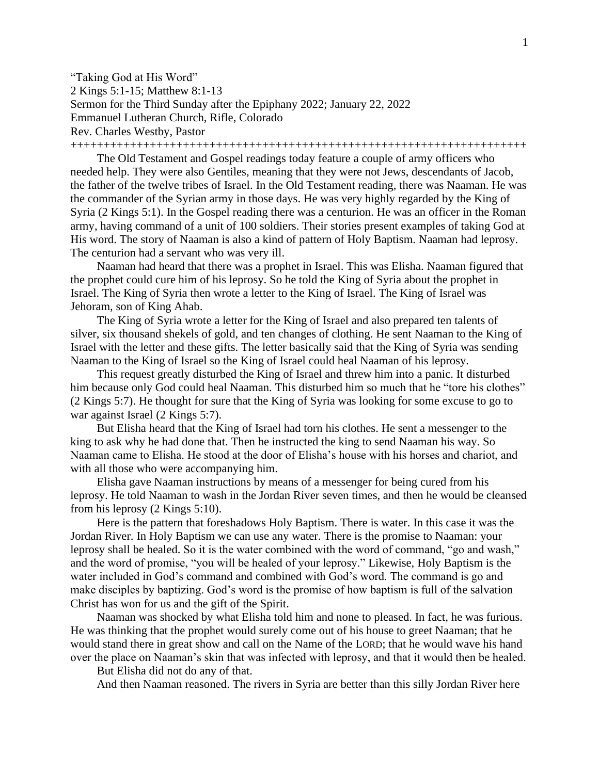"Taking God at His Word" 2 Kings 5:1-15; Matthew 8:1-13 Sermon for the Third Sunday after the Epiphany 2022; January 22, 2022 Emmanuel Lutheran Church, Rifle, Colorado Rev. Charles Westby, Pastor +++++++++++++++++++++++++++++++++++++++++++++++++++++++++++++++++++++

The Old Testament and Gospel readings today feature a couple of army officers who needed help. They were also Gentiles, meaning that they were not Jews, descendants of Jacob, the father of the twelve tribes of Israel. In the Old Testament reading, there was Naaman. He was the commander of the Syrian army in those days. He was very highly regarded by the King of Syria (2 Kings 5:1). In the Gospel reading there was a centurion. He was an officer in the Roman army, having command of a unit of 100 soldiers. Their stories present examples of taking God at His word. The story of Naaman is also a kind of pattern of Holy Baptism. Naaman had leprosy. The centurion had a servant who was very ill.

Naaman had heard that there was a prophet in Israel. This was Elisha. Naaman figured that the prophet could cure him of his leprosy. So he told the King of Syria about the prophet in Israel. The King of Syria then wrote a letter to the King of Israel. The King of Israel was Jehoram, son of King Ahab.

The King of Syria wrote a letter for the King of Israel and also prepared ten talents of silver, six thousand shekels of gold, and ten changes of clothing. He sent Naaman to the King of Israel with the letter and these gifts. The letter basically said that the King of Syria was sending Naaman to the King of Israel so the King of Israel could heal Naaman of his leprosy.

This request greatly disturbed the King of Israel and threw him into a panic. It disturbed him because only God could heal Naaman. This disturbed him so much that he "tore his clothes" (2 Kings 5:7). He thought for sure that the King of Syria was looking for some excuse to go to war against Israel (2 Kings 5:7).

But Elisha heard that the King of Israel had torn his clothes. He sent a messenger to the king to ask why he had done that. Then he instructed the king to send Naaman his way. So Naaman came to Elisha. He stood at the door of Elisha's house with his horses and chariot, and with all those who were accompanying him.

Elisha gave Naaman instructions by means of a messenger for being cured from his leprosy. He told Naaman to wash in the Jordan River seven times, and then he would be cleansed from his leprosy (2 Kings 5:10).

Here is the pattern that foreshadows Holy Baptism. There is water. In this case it was the Jordan River. In Holy Baptism we can use any water. There is the promise to Naaman: your leprosy shall be healed. So it is the water combined with the word of command, "go and wash," and the word of promise, "you will be healed of your leprosy." Likewise, Holy Baptism is the water included in God's command and combined with God's word. The command is go and make disciples by baptizing. God's word is the promise of how baptism is full of the salvation Christ has won for us and the gift of the Spirit.

Naaman was shocked by what Elisha told him and none to pleased. In fact, he was furious. He was thinking that the prophet would surely come out of his house to greet Naaman; that he would stand there in great show and call on the Name of the LORD; that he would wave his hand over the place on Naaman's skin that was infected with leprosy, and that it would then be healed.

But Elisha did not do any of that.

And then Naaman reasoned. The rivers in Syria are better than this silly Jordan River here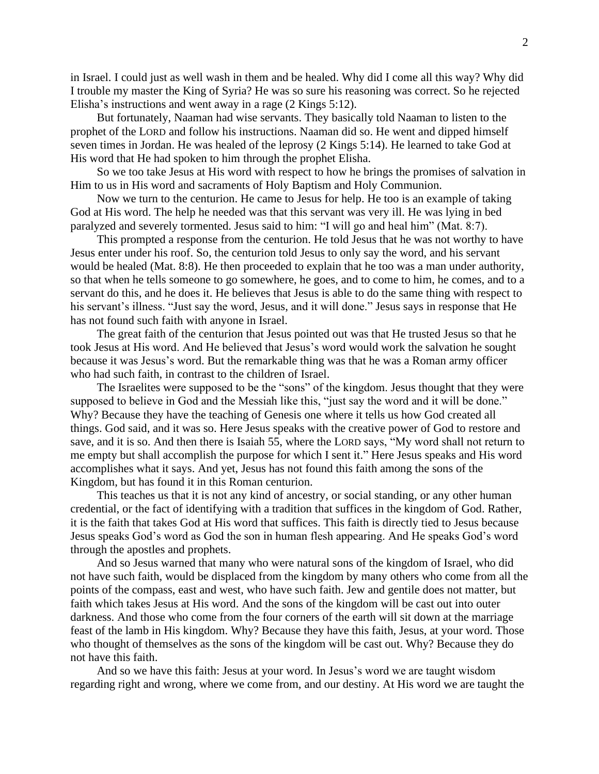in Israel. I could just as well wash in them and be healed. Why did I come all this way? Why did I trouble my master the King of Syria? He was so sure his reasoning was correct. So he rejected Elisha's instructions and went away in a rage (2 Kings 5:12).

But fortunately, Naaman had wise servants. They basically told Naaman to listen to the prophet of the LORD and follow his instructions. Naaman did so. He went and dipped himself seven times in Jordan. He was healed of the leprosy (2 Kings 5:14). He learned to take God at His word that He had spoken to him through the prophet Elisha.

So we too take Jesus at His word with respect to how he brings the promises of salvation in Him to us in His word and sacraments of Holy Baptism and Holy Communion.

Now we turn to the centurion. He came to Jesus for help. He too is an example of taking God at His word. The help he needed was that this servant was very ill. He was lying in bed paralyzed and severely tormented. Jesus said to him: "I will go and heal him" (Mat. 8:7).

This prompted a response from the centurion. He told Jesus that he was not worthy to have Jesus enter under his roof. So, the centurion told Jesus to only say the word, and his servant would be healed (Mat. 8:8). He then proceeded to explain that he too was a man under authority, so that when he tells someone to go somewhere, he goes, and to come to him, he comes, and to a servant do this, and he does it. He believes that Jesus is able to do the same thing with respect to his servant's illness. "Just say the word, Jesus, and it will done." Jesus says in response that He has not found such faith with anyone in Israel.

The great faith of the centurion that Jesus pointed out was that He trusted Jesus so that he took Jesus at His word. And He believed that Jesus's word would work the salvation he sought because it was Jesus's word. But the remarkable thing was that he was a Roman army officer who had such faith, in contrast to the children of Israel.

The Israelites were supposed to be the "sons" of the kingdom. Jesus thought that they were supposed to believe in God and the Messiah like this, "just say the word and it will be done." Why? Because they have the teaching of Genesis one where it tells us how God created all things. God said, and it was so. Here Jesus speaks with the creative power of God to restore and save, and it is so. And then there is Isaiah 55, where the LORD says, "My word shall not return to me empty but shall accomplish the purpose for which I sent it." Here Jesus speaks and His word accomplishes what it says. And yet, Jesus has not found this faith among the sons of the Kingdom, but has found it in this Roman centurion.

This teaches us that it is not any kind of ancestry, or social standing, or any other human credential, or the fact of identifying with a tradition that suffices in the kingdom of God. Rather, it is the faith that takes God at His word that suffices. This faith is directly tied to Jesus because Jesus speaks God's word as God the son in human flesh appearing. And He speaks God's word through the apostles and prophets.

And so Jesus warned that many who were natural sons of the kingdom of Israel, who did not have such faith, would be displaced from the kingdom by many others who come from all the points of the compass, east and west, who have such faith. Jew and gentile does not matter, but faith which takes Jesus at His word. And the sons of the kingdom will be cast out into outer darkness. And those who come from the four corners of the earth will sit down at the marriage feast of the lamb in His kingdom. Why? Because they have this faith, Jesus, at your word. Those who thought of themselves as the sons of the kingdom will be cast out. Why? Because they do not have this faith.

And so we have this faith: Jesus at your word. In Jesus's word we are taught wisdom regarding right and wrong, where we come from, and our destiny. At His word we are taught the